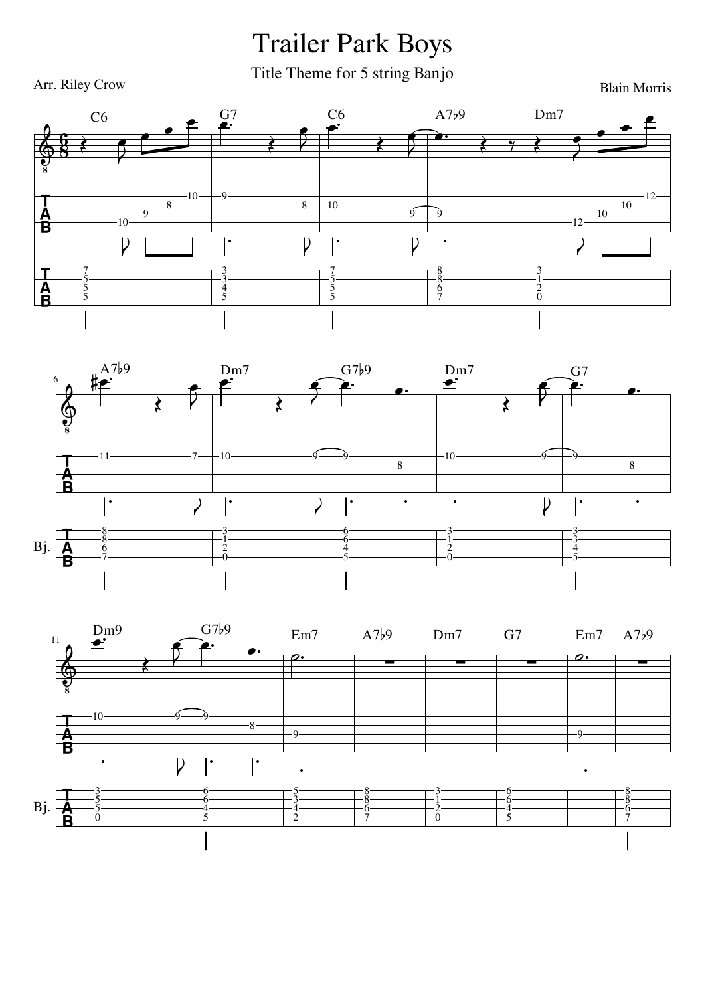## Trailer Park Boys

Title Theme for 5 string Banjo









Blain Morris